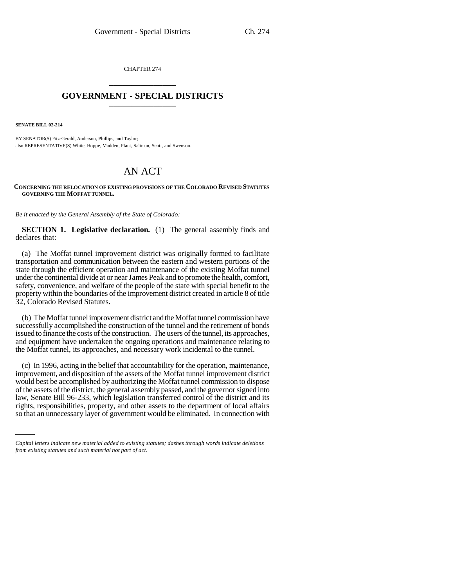CHAPTER 274 \_\_\_\_\_\_\_\_\_\_\_\_\_\_\_

## **GOVERNMENT - SPECIAL DISTRICTS** \_\_\_\_\_\_\_\_\_\_\_\_\_\_\_

**SENATE BILL 02-214**

BY SENATOR(S) Fitz-Gerald, Anderson, Phillips, and Taylor; also REPRESENTATIVE(S) White, Hoppe, Madden, Plant, Saliman, Scott, and Swenson.

## AN ACT

**CONCERNING THE RELOCATION OF EXISTING PROVISIONS OF THE COLORADO REVISED STATUTES GOVERNING THE MOFFAT TUNNEL.**

*Be it enacted by the General Assembly of the State of Colorado:*

**SECTION 1. Legislative declaration.** (1) The general assembly finds and declares that:

(a) The Moffat tunnel improvement district was originally formed to facilitate transportation and communication between the eastern and western portions of the state through the efficient operation and maintenance of the existing Moffat tunnel under the continental divide at or near James Peak and to promote the health, comfort, safety, convenience, and welfare of the people of the state with special benefit to the property within the boundaries of the improvement district created in article 8 of title 32, Colorado Revised Statutes.

(b) The Moffat tunnel improvement district and the Moffat tunnel commission have successfully accomplished the construction of the tunnel and the retirement of bonds issued to finance the costs of the construction. The users of the tunnel, its approaches, and equipment have undertaken the ongoing operations and maintenance relating to the Moffat tunnel, its approaches, and necessary work incidental to the tunnel.

law, Senate Bill 96-233, which legislation transferred control of the district and its (c) In 1996, acting in the belief that accountability for the operation, maintenance, improvement, and disposition of the assets of the Moffat tunnel improvement district would best be accomplished by authorizing the Moffat tunnel commission to dispose of the assets of the district, the general assembly passed, and the governor signed into rights, responsibilities, property, and other assets to the department of local affairs so that an unnecessary layer of government would be eliminated. In connection with

*Capital letters indicate new material added to existing statutes; dashes through words indicate deletions from existing statutes and such material not part of act.*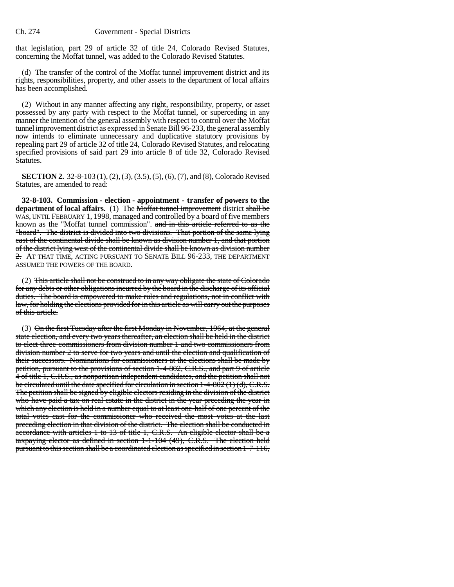that legislation, part 29 of article 32 of title 24, Colorado Revised Statutes, concerning the Moffat tunnel, was added to the Colorado Revised Statutes.

(d) The transfer of the control of the Moffat tunnel improvement district and its rights, responsibilities, property, and other assets to the department of local affairs has been accomplished.

(2) Without in any manner affecting any right, responsibility, property, or asset possessed by any party with respect to the Moffat tunnel, or superceding in any manner the intention of the general assembly with respect to control over the Moffat tunnel improvement district as expressed in Senate Bill 96-233, the general assembly now intends to eliminate unnecessary and duplicative statutory provisions by repealing part 29 of article 32 of title 24, Colorado Revised Statutes, and relocating specified provisions of said part 29 into article 8 of title 32, Colorado Revised Statutes.

**SECTION 2.** 32-8-103 (1), (2), (3), (3.5), (5), (6), (7), and (8), Colorado Revised Statutes, are amended to read:

**32-8-103. Commission - election - appointment - transfer of powers to the department of local affairs.** (1) The Moffat tunnel improvement district shall be WAS, UNTIL FEBRUARY 1, 1998, managed and controlled by a board of five members known as the "Moffat tunnel commission". and in this article referred to as the "board". The district is divided into two divisions. That portion of the same lying east of the continental divide shall be known as division number 1, and that portion of the district lying west of the continental divide shall be known as division number 2. AT THAT TIME, ACTING PURSUANT TO SENATE BILL 96-233, THE DEPARTMENT ASSUMED THE POWERS OF THE BOARD.

(2) This article shall not be construed to in any way obligate the state of Colorado for any debts or other obligations incurred by the board in the discharge of its official duties. The board is empowered to make rules and regulations, not in conflict with law, for holding the elections provided for in this article as will carry out the purposes of this article.

(3) On the first Tuesday after the first Monday in November, 1964, at the general state election, and every two years thereafter, an election shall be held in the district to elect three commissioners from division number 1 and two commissioners from division number 2 to serve for two years and until the election and qualification of their successors. Nominations for commissioners at the elections shall be made by petition, pursuant to the provisions of section 1-4-802, C.R.S., and part 9 of article 4 of title 1, C.R.S., as nonpartisan independent candidates, and the petition shall not be circulated until the date specified for circulation in section 1-4-802 (1) (d), C.R.S. The petition shall be signed by eligible electors residing in the division of the district who have paid a tax on real estate in the district in the year preceding the year in which any election is held in a number equal to at least one-half of one percent of the total votes cast for the commissioner who received the most votes at the last preceding election in that division of the district. The election shall be conducted in accordance with articles 1 to 13 of title 1, C.R.S. An eligible elector shall be a taxpaying elector as defined in section 1-1-104 (49), C.R.S. The election held pursuant to this section shall be a coordinated election as specified in section 1-7-116,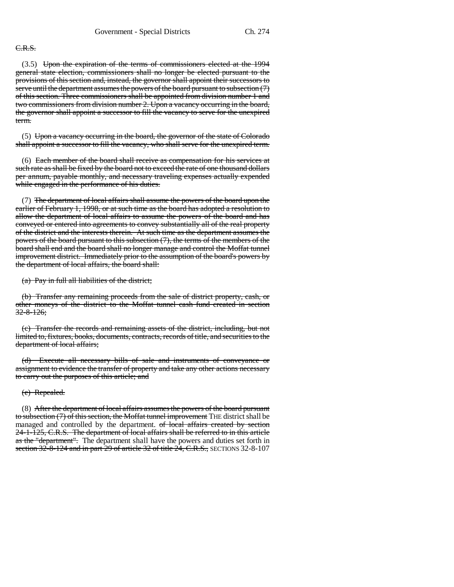## C.R.S.

(3.5) Upon the expiration of the terms of commissioners elected at the 1994 general state election, commissioners shall no longer be elected pursuant to the provisions of this section and, instead, the governor shall appoint their successors to serve until the department assumes the powers of the board pursuant to subsection (7) of this section. Three commissioners shall be appointed from division number 1 and two commissioners from division number 2. Upon a vacancy occurring in the board, the governor shall appoint a successor to fill the vacancy to serve for the unexpired term.

(5) Upon a vacancy occurring in the board, the governor of the state of Colorado shall appoint a successor to fill the vacancy, who shall serve for the unexpired term.

(6) Each member of the board shall receive as compensation for his services at such rate as shall be fixed by the board not to exceed the rate of one thousand dollars per annum, payable monthly, and necessary traveling expenses actually expended while engaged in the performance of his duties.

(7) The department of local affairs shall assume the powers of the board upon the earlier of February 1, 1998, or at such time as the board has adopted a resolution to allow the department of local affairs to assume the powers of the board and has conveyed or entered into agreements to convey substantially all of the real property of the district and the interests therein. At such time as the department assumes the powers of the board pursuant to this subsection (7), the terms of the members of the board shall end and the board shall no longer manage and control the Moffat tunnel improvement district. Immediately prior to the assumption of the board's powers by the department of local affairs, the board shall:

(a) Pay in full all liabilities of the district;

(b) Transfer any remaining proceeds from the sale of district property, cash, or other moneys of the district to the Moffat tunnel cash fund created in section  $32 - 8 - 126$ ;

(c) Transfer the records and remaining assets of the district, including, but not limited to, fixtures, books, documents, contracts, records of title, and securities to the department of local affairs;

(d) Execute all necessary bills of sale and instruments of conveyance or assignment to evidence the transfer of property and take any other actions necessary to carry out the purposes of this article; and

## (e) Repealed.

(8) After the department of local affairs assumes the powers of the board pursuant to subsection (7) of this section, the Moffat tunnel improvement THE district shall be managed and controlled by the department. of local affairs created by section 24-1-125, C.R.S. The department of local affairs shall be referred to in this article as the "department". The department shall have the powers and duties set forth in section 32-8-124 and in part 29 of article 32 of title 24, C.R.S., SECTIONS 32-8-107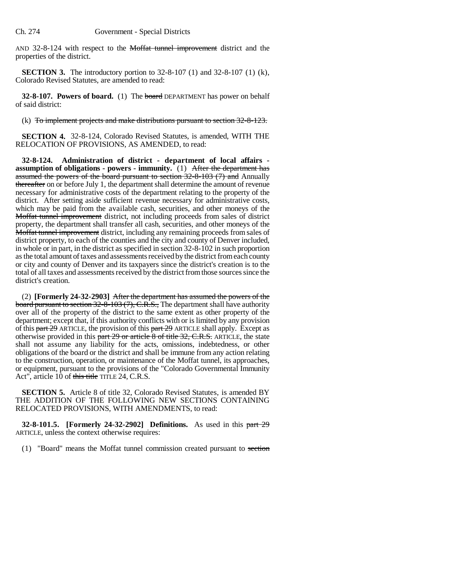AND 32-8-124 with respect to the Moffat tunnel improvement district and the properties of the district.

**SECTION 3.** The introductory portion to 32-8-107 (1) and 32-8-107 (1) (k), Colorado Revised Statutes, are amended to read:

**32-8-107. Powers of board.** (1) The board DEPARTMENT has power on behalf of said district:

(k) To implement projects and make distributions pursuant to section 32-8-123.

**SECTION 4.** 32-8-124, Colorado Revised Statutes, is amended, WITH THE RELOCATION OF PROVISIONS, AS AMENDED, to read:

**32-8-124. Administration of district - department of local affairs assumption of obligations - powers - immunity.** (1) After the department has assumed the powers of the board pursuant to section  $32-8-103$  (7) and Annually thereafter on or before July 1, the department shall determine the amount of revenue necessary for administrative costs of the department relating to the property of the district. After setting aside sufficient revenue necessary for administrative costs, which may be paid from the available cash, securities, and other moneys of the Moffat tunnel improvement district, not including proceeds from sales of district property, the department shall transfer all cash, securities, and other moneys of the **Moffat tunnel improvement** district, including any remaining proceeds from sales of district property, to each of the counties and the city and county of Denver included, in whole or in part, in the district as specified in section 32-8-102 in such proportion as the total amount of taxes and assessments received by the district from each county or city and county of Denver and its taxpayers since the district's creation is to the total of all taxes and assessments received by the district from those sources since the district's creation.

(2) **[Formerly 24-32-2903]** After the department has assumed the powers of the board pursuant to section 32-8-103 (7), C.R.S., The department shall have authority over all of the property of the district to the same extent as other property of the department; except that, if this authority conflicts with or is limited by any provision of this  $part 29$  ARTICLE, the provision of this  $part 29$  ARTICLE shall apply. Except as otherwise provided in this part 29 or article 8 of title 32, C.R.S. ARTICLE, the state shall not assume any liability for the acts, omissions, indebtedness, or other obligations of the board or the district and shall be immune from any action relating to the construction, operation, or maintenance of the Moffat tunnel, its approaches, or equipment, pursuant to the provisions of the "Colorado Governmental Immunity Act", article 10 of this title TITLE 24, C.R.S.

**SECTION 5.** Article 8 of title 32, Colorado Revised Statutes, is amended BY THE ADDITION OF THE FOLLOWING NEW SECTIONS CONTAINING RELOCATED PROVISIONS, WITH AMENDMENTS, to read:

**32-8-101.5. [Formerly 24-32-2902] Definitions.** As used in this part 29 ARTICLE, unless the context otherwise requires:

(1) "Board" means the Moffat tunnel commission created pursuant to section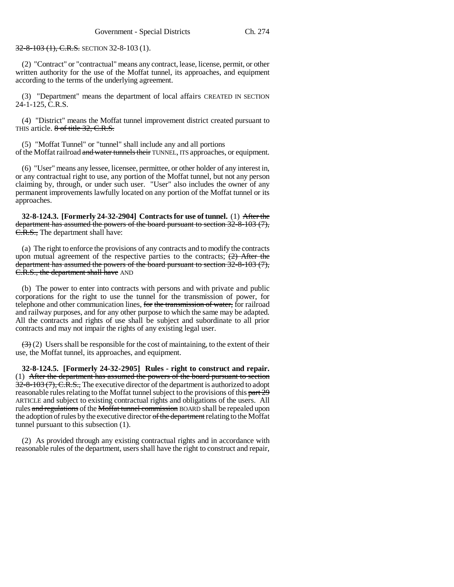32-8-103 (1), C.R.S. SECTION 32-8-103 (1).

(2) "Contract" or "contractual" means any contract, lease, license, permit, or other written authority for the use of the Moffat tunnel, its approaches, and equipment according to the terms of the underlying agreement.

(3) "Department" means the department of local affairs CREATED IN SECTION 24-1-125, C.R.S.

(4) "District" means the Moffat tunnel improvement district created pursuant to THIS article. 8 of title 32, C.R.S.

(5) "Moffat Tunnel" or "tunnel" shall include any and all portions of the Moffat railroad and water tunnels their TUNNEL, ITS approaches, or equipment.

(6) "User" means any lessee, licensee, permittee, or other holder of any interest in, or any contractual right to use, any portion of the Moffat tunnel, but not any person claiming by, through, or under such user. "User" also includes the owner of any permanent improvements lawfully located on any portion of the Moffat tunnel or its approaches.

**32-8-124.3. [Formerly 24-32-2904] Contracts for use of tunnel.** (1) After the department has assumed the powers of the board pursuant to section 32-8-103 (7), C.R.S., The department shall have:

(a) The right to enforce the provisions of any contracts and to modify the contracts upon mutual agreement of the respective parties to the contracts;  $(2)$  After the department has assumed the powers of the board pursuant to section 32-8-103 (7), E.R.S., the department shall have AND

(b) The power to enter into contracts with persons and with private and public corporations for the right to use the tunnel for the transmission of power, for telephone and other communication lines, for the transmission of water, for railroad and railway purposes, and for any other purpose to which the same may be adapted. All the contracts and rights of use shall be subject and subordinate to all prior contracts and may not impair the rights of any existing legal user.

 $(3)(2)$  Users shall be responsible for the cost of maintaining, to the extent of their use, the Moffat tunnel, its approaches, and equipment.

**32-8-124.5. [Formerly 24-32-2905] Rules - right to construct and repair.** (1) After the department has assumed the powers of the board pursuant to section 32-8-103 (7), C.R.S., The executive director of the department is authorized to adopt reasonable rules relating to the Moffat tunnel subject to the provisions of this part 29 ARTICLE and subject to existing contractual rights and obligations of the users. All rules and regulations of the Moffat tunnel commission BOARD shall be repealed upon the adoption of rules by the executive director of the department relating to the Moffat tunnel pursuant to this subsection (1).

(2) As provided through any existing contractual rights and in accordance with reasonable rules of the department, users shall have the right to construct and repair,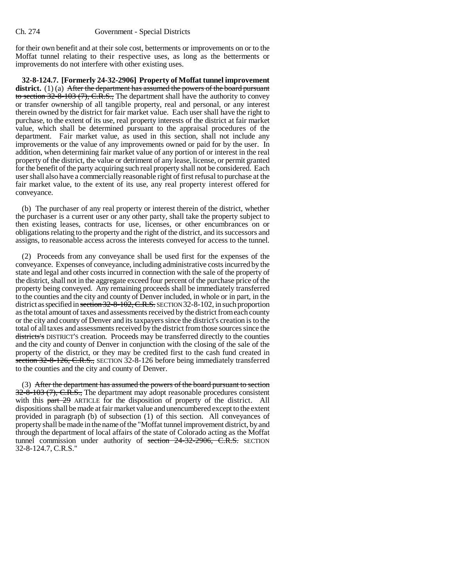for their own benefit and at their sole cost, betterments or improvements on or to the Moffat tunnel relating to their respective uses, as long as the betterments or improvements do not interfere with other existing uses.

**32-8-124.7. [Formerly 24-32-2906] Property of Moffat tunnel improvement** district. (1) (a) After the department has assumed the powers of the board pursuant to section  $32-8-103$  (7), C.R.S., The department shall have the authority to convey or transfer ownership of all tangible property, real and personal, or any interest therein owned by the district for fair market value. Each user shall have the right to purchase, to the extent of its use, real property interests of the district at fair market value, which shall be determined pursuant to the appraisal procedures of the department. Fair market value, as used in this section, shall not include any improvements or the value of any improvements owned or paid for by the user. In addition, when determining fair market value of any portion of or interest in the real property of the district, the value or detriment of any lease, license, or permit granted for the benefit of the party acquiring such real property shall not be considered. Each user shall also have a commercially reasonable right of first refusal to purchase at the fair market value, to the extent of its use, any real property interest offered for conveyance.

(b) The purchaser of any real property or interest therein of the district, whether the purchaser is a current user or any other party, shall take the property subject to then existing leases, contracts for use, licenses, or other encumbrances on or obligations relating to the property and the right of the district, and its successors and assigns, to reasonable access across the interests conveyed for access to the tunnel.

(2) Proceeds from any conveyance shall be used first for the expenses of the conveyance. Expenses of conveyance, including administrative costs incurred by the state and legal and other costs incurred in connection with the sale of the property of the district, shall not in the aggregate exceed four percent of the purchase price of the property being conveyed. Any remaining proceeds shall be immediately transferred to the counties and the city and county of Denver included, in whole or in part, in the district as specified in section 32-8-102, C.R.S. SECTION 32-8-102, in such proportion as the total amount of taxes and assessments received by the district from each county or the city and county of Denver and its taxpayers since the district's creation is to the total of all taxes and assessments received by the district from those sources since the districts's DISTRICT'S creation. Proceeds may be transferred directly to the counties and the city and county of Denver in conjunction with the closing of the sale of the property of the district, or they may be credited first to the cash fund created in section 32-8-126, C.R.S., SECTION 32-8-126 before being immediately transferred to the counties and the city and county of Denver.

(3) After the department has assumed the powers of the board pursuant to section  $32-8-103$  (7), C.R.S., The department may adopt reasonable procedures consistent with this part 29 ARTICLE for the disposition of property of the district. All dispositions shall be made at fair market value and unencumbered except to the extent provided in paragraph (b) of subsection (1) of this section. All conveyances of property shall be made in the name of the "Moffat tunnel improvement district, by and through the department of local affairs of the state of Colorado acting as the Moffat tunnel commission under authority of section 24-32-2906, C.R.S. SECTION 32-8-124.7, C.R.S."